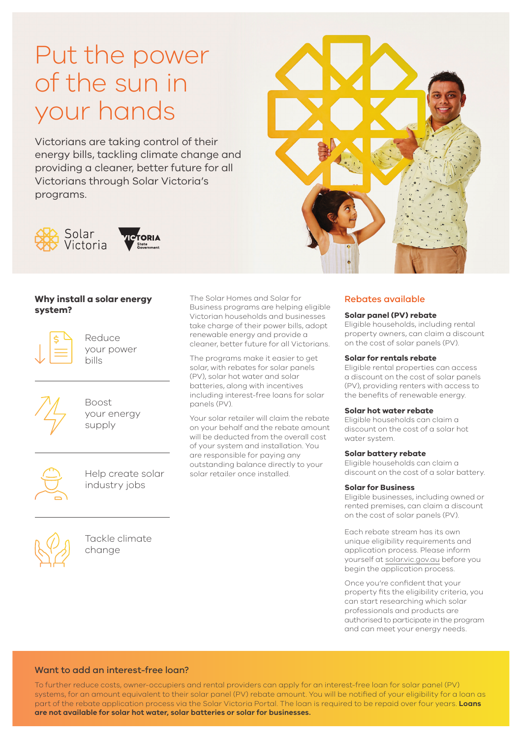# Put the power of the sun in your hands

Victorians are taking control of their energy bills, tackling climate change and providing a cleaner, better future for all Victorians through Solar Victoria's programs.



## **Why install a solar energy system?**



Reduce your power bills



Boost your energy supply



Help create solar industry jobs



Tackle climate change

The Solar Homes and Solar for Business programs are helping eligible Victorian households and businesses take charge of their power bills, adopt

renewable energy and provide a cleaner, better future for all Victorians. The programs make it easier to get solar, with rebates for solar panels

(PV), solar hot water and solar batteries, along with incentives including interest-free loans for solar panels (PV).

Your solar retailer will claim the rebate on your behalf and the rebate amount will be deducted from the overall cost of your system and installation. You are responsible for paying any outstanding balance directly to your solar retailer once installed.



# Rebates available

## **Solar panel (PV) rebate**

Eligible households, including rental property owners, can claim a discount on the cost of solar panels (PV).

#### **Solar for rentals rebate**

Eligible rental properties can access a discount on the cost of solar panels (PV), providing renters with access to the benefits of renewable energy.

#### **Solar hot water rebate**

Eligible households can claim a discount on the cost of a solar hot water system.

### **Solar battery rebate**

Eligible households can claim a discount on the cost of a solar battery.

#### **Solar for Business**

Eligible businesses, including owned or rented premises, can claim a discount on the cost of solar panels (PV).

Each rebate stream has its own unique eligibility requirements and application process. Please inform yourself at solar.vic.gov.au before you begin the application process.

Once you're confident that your property fits the eligibility criteria, you can start researching which solar professionals and products are authorised to participate in the program and can meet your energy needs.

#### Want to add an interest-free loan?

To further reduce costs, owner-occupiers and rental providers can apply for an interest-free loan for solar panel (PV) systems, for an amount equivalent to their solar panel (PV) rebate amount. You will be notified of your eligibility for a loan as part of the rebate application process via the Solar Victoria Portal. The loan is required to be repaid over four years. **Loans are not available for solar hot water, solar batteries or solar for businesses.**